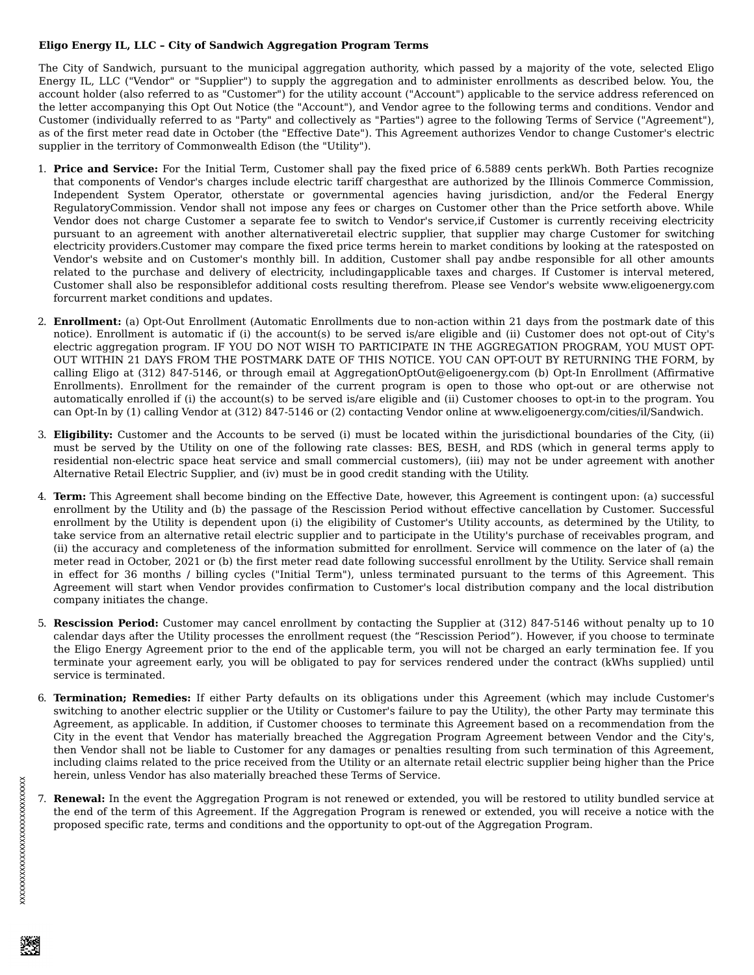## **Eligo Energy IL, LLC – City of Sandwich Aggregation Program Terms**

The City of Sandwich, pursuant to the municipal aggregation authority, which passed by a majority of the vote, selected Eligo Energy IL, LLC ("Vendor" or "Supplier") to supply the aggregation and to administer enrollments as described below. You, the account holder (also referred to as "Customer") for the utility account ("Account") applicable to the service address referenced on the letter accompanying this Opt Out Notice (the "Account"), and Vendor agree to the following terms and conditions. Vendor and Customer (individually referred to as "Party" and collectively as "Parties") agree to the following Terms of Service ("Agreement"), as of the first meter read date in October (the "Effective Date"). This Agreement authorizes Vendor to change Customer's electric supplier in the territory of Commonwealth Edison (the "Utility").

- 1. **Price and Service:** For the Initial Term, Customer shall pay the fixed price of 6.5889 cents perkWh. Both Parties recognize that components of Vendor's charges include electric tariff chargesthat are authorized by the Illinois Commerce Commission, Independent System Operator, otherstate or governmental agencies having jurisdiction, and/or the Federal Energy RegulatoryCommission. Vendor shall not impose any fees or charges on Customer other than the Price setforth above. While Vendor does not charge Customer a separate fee to switch to Vendor's service,if Customer is currently receiving electricity pursuant to an agreement with another alternativeretail electric supplier, that supplier may charge Customer for switching electricity providers.Customer may compare the fixed price terms herein to market conditions by looking at the ratesposted on Vendor's website and on Customer's monthly bill. In addition, Customer shall pay andbe responsible for all other amounts related to the purchase and delivery of electricity, includingapplicable taxes and charges. If Customer is interval metered, Customer shall also be responsiblefor additional costs resulting therefrom. Please see Vendor's website www.eligoenergy.com forcurrent market conditions and updates.
- 2. **Enrollment:** (a) Opt-Out Enrollment (Automatic Enrollments due to non-action within 21 days from the postmark date of this notice). Enrollment is automatic if (i) the account(s) to be served is/are eligible and (ii) Customer does not opt-out of City's electric aggregation program. IF YOU DO NOT WISH TO PARTICIPATE IN THE AGGREGATION PROGRAM, YOU MUST OPT-OUT WITHIN 21 DAYS FROM THE POSTMARK DATE OF THIS NOTICE. YOU CAN OPT-OUT BY RETURNING THE FORM, by calling Eligo at (312) 847-5146, or through email at AggregationOptOut@eligoenergy.com (b) Opt-In Enrollment (Affirmative Enrollments). Enrollment for the remainder of the current program is open to those who opt-out or are otherwise not automatically enrolled if (i) the account(s) to be served is/are eligible and (ii) Customer chooses to opt-in to the program. You can Opt-In by (1) calling Vendor at (312) 847-5146 or (2) contacting Vendor online at www.eligoenergy.com/cities/il/Sandwich.
- 3. **Eligibility:** Customer and the Accounts to be served (i) must be located within the jurisdictional boundaries of the City, (ii) must be served by the Utility on one of the following rate classes: BES, BESH, and RDS (which in general terms apply to residential non-electric space heat service and small commercial customers), (iii) may not be under agreement with another Alternative Retail Electric Supplier, and (iv) must be in good credit standing with the Utility.
- 4. **Term:** This Agreement shall become binding on the Effective Date, however, this Agreement is contingent upon: (a) successful enrollment by the Utility and (b) the passage of the Rescission Period without effective cancellation by Customer. Successful enrollment by the Utility is dependent upon (i) the eligibility of Customer's Utility accounts, as determined by the Utility, to take service from an alternative retail electric supplier and to participate in the Utility's purchase of receivables program, and (ii) the accuracy and completeness of the information submitted for enrollment. Service will commence on the later of (a) the meter read in October, 2021 or (b) the first meter read date following successful enrollment by the Utility. Service shall remain in effect for 36 months / billing cycles ("Initial Term"), unless terminated pursuant to the terms of this Agreement. This Agreement will start when Vendor provides confirmation to Customer's local distribution company and the local distribution company initiates the change.
- 5. **Rescission Period:** Customer may cancel enrollment by contacting the Supplier at (312) 847-5146 without penalty up to 10 calendar days after the Utility processes the enrollment request (the "Rescission Period"). However, if you choose to terminate the Eligo Energy Agreement prior to the end of the applicable term, you will not be charged an early termination fee. If you terminate your agreement early, you will be obligated to pay for services rendered under the contract (kWhs supplied) until service is terminated.
- 6. **Termination; Remedies:** If either Party defaults on its obligations under this Agreement (which may include Customer's switching to another electric supplier or the Utility or Customer's failure to pay the Utility), the other Party may terminate this Agreement, as applicable. In addition, if Customer chooses to terminate this Agreement based on a recommendation from the City in the event that Vendor has materially breached the Aggregation Program Agreement between Vendor and the City's, then Vendor shall not be liable to Customer for any damages or penalties resulting from such termination of this Agreement, including claims related to the price received from the Utility or an alternate retail electric supplier being higher than the Price herein, unless Vendor has also materially breached these Terms of Service.
- 7. **Renewal:** In the event the Aggregation Program is not renewed or extended, you will be restored to utility bundled service at the end of the term of this Agreement. If the Aggregation Program is renewed or extended, you will receive a notice with the proposed specific rate, terms and conditions and the opportunity to opt-out of the Aggregation Program.